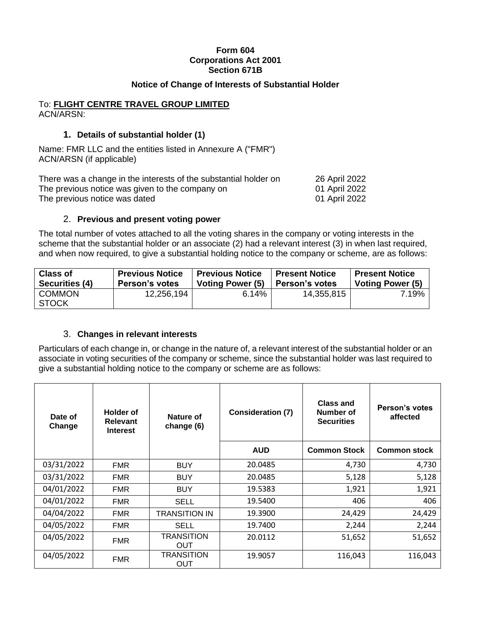## **Form 604 Corporations Act 2001 Section 671B**

## **Notice of Change of Interests of Substantial Holder**

## To: **FLIGHT CENTRE TRAVEL GROUP LIMITED** ACN/ARSN:

## **1. Details of substantial holder (1)**

Name: FMR LLC and the entities listed in Annexure A ("FMR") ACN/ARSN (if applicable)

| There was a change in the interests of the substantial holder on | 26 April 2022 |
|------------------------------------------------------------------|---------------|
| The previous notice was given to the company on                  | 01 April 2022 |
| The previous notice was dated                                    | 01 April 2022 |

## 2. **Previous and present voting power**

The total number of votes attached to all the voting shares in the company or voting interests in the scheme that the substantial holder or an associate (2) had a relevant interest (3) in when last required, and when now required, to give a substantial holding notice to the company or scheme, are as follows:

| <b>Class of</b>               | <b>Previous Notice</b> | <b>Previous Notice</b>  | <b>Present Notice</b> | <b>Present Notice</b>   |
|-------------------------------|------------------------|-------------------------|-----------------------|-------------------------|
| Securities (4)                | <b>Person's votes</b>  | <b>Voting Power (5)</b> | ∣ Person's votes      | <b>Voting Power (5)</b> |
| <b>COMMON</b><br><b>STOCK</b> | 12,256,194             | 6.14%                   | 14,355,815            | 7.19%                   |

# 3. **Changes in relevant interests**

Particulars of each change in, or change in the nature of, a relevant interest of the substantial holder or an associate in voting securities of the company or scheme, since the substantial holder was last required to give a substantial holding notice to the company or scheme are as follows:

| <b>Holder of</b><br>Date of<br><b>Relevant</b><br>Change<br><b>Interest</b> |            | Nature of<br>change (6)  | <b>Consideration (7)</b> | <b>Class and</b><br>Number of<br><b>Securities</b> | Person's votes<br>affected |
|-----------------------------------------------------------------------------|------------|--------------------------|--------------------------|----------------------------------------------------|----------------------------|
|                                                                             |            |                          | <b>AUD</b>               | <b>Common Stock</b>                                | <b>Common stock</b>        |
| 03/31/2022                                                                  | <b>FMR</b> | <b>BUY</b>               | 20.0485                  | 4,730                                              | 4,730                      |
| 03/31/2022                                                                  | FMR.       | <b>BUY</b>               | 20.0485                  | 5,128                                              | 5,128                      |
| 04/01/2022                                                                  | FMR.       | <b>BUY</b>               | 19.5383                  | 1,921                                              | 1,921                      |
| 04/01/2022                                                                  | FMR.       | <b>SELL</b>              | 19.5400                  | 406                                                | 406                        |
| 04/04/2022                                                                  | <b>FMR</b> | TRANSITION IN            | 19.3900                  | 24,429                                             | 24,429                     |
| 04/05/2022                                                                  | <b>FMR</b> | <b>SELL</b>              | 19.7400                  | 2,244                                              | 2,244                      |
| 04/05/2022                                                                  | <b>FMR</b> | <b>TRANSITION</b><br>OUT | 20.0112                  | 51,652                                             | 51,652                     |
| 04/05/2022                                                                  | <b>FMR</b> | <b>TRANSITION</b><br>OUT | 19.9057                  | 116,043                                            | 116,043                    |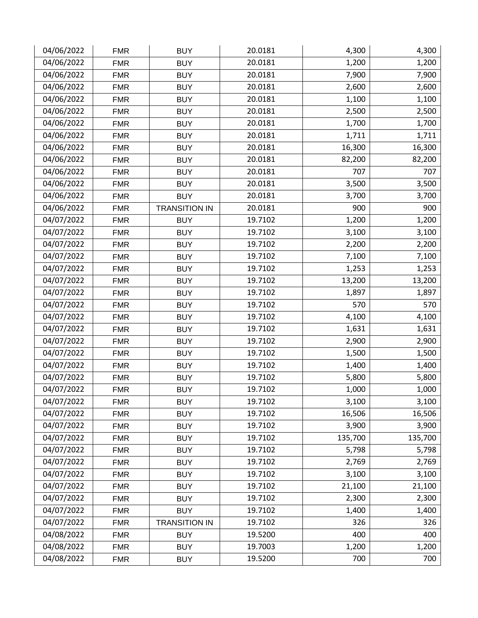| 04/06/2022 | <b>FMR</b> | <b>BUY</b>           | 20.0181 | 4,300   | 4,300   |
|------------|------------|----------------------|---------|---------|---------|
| 04/06/2022 | <b>FMR</b> | <b>BUY</b>           | 20.0181 | 1,200   | 1,200   |
| 04/06/2022 | <b>FMR</b> | <b>BUY</b>           | 20.0181 | 7,900   | 7,900   |
| 04/06/2022 | <b>FMR</b> | <b>BUY</b>           | 20.0181 | 2,600   | 2,600   |
| 04/06/2022 | <b>FMR</b> | <b>BUY</b>           | 20.0181 | 1,100   | 1,100   |
| 04/06/2022 | <b>FMR</b> | <b>BUY</b>           | 20.0181 | 2,500   | 2,500   |
| 04/06/2022 | <b>FMR</b> | <b>BUY</b>           | 20.0181 | 1,700   | 1,700   |
| 04/06/2022 | <b>FMR</b> | <b>BUY</b>           | 20.0181 | 1,711   | 1,711   |
| 04/06/2022 | <b>FMR</b> | <b>BUY</b>           | 20.0181 | 16,300  | 16,300  |
| 04/06/2022 | <b>FMR</b> | <b>BUY</b>           | 20.0181 | 82,200  | 82,200  |
| 04/06/2022 | <b>FMR</b> | <b>BUY</b>           | 20.0181 | 707     | 707     |
| 04/06/2022 | <b>FMR</b> | <b>BUY</b>           | 20.0181 | 3,500   | 3,500   |
| 04/06/2022 | <b>FMR</b> | <b>BUY</b>           | 20.0181 | 3,700   | 3,700   |
| 04/06/2022 | <b>FMR</b> | <b>TRANSITION IN</b> | 20.0181 | 900     | 900     |
| 04/07/2022 | <b>FMR</b> | <b>BUY</b>           | 19.7102 | 1,200   | 1,200   |
| 04/07/2022 | <b>FMR</b> | <b>BUY</b>           | 19.7102 | 3,100   | 3,100   |
| 04/07/2022 | <b>FMR</b> | <b>BUY</b>           | 19.7102 | 2,200   | 2,200   |
| 04/07/2022 | <b>FMR</b> | <b>BUY</b>           | 19.7102 | 7,100   | 7,100   |
| 04/07/2022 | <b>FMR</b> | <b>BUY</b>           | 19.7102 | 1,253   | 1,253   |
| 04/07/2022 | <b>FMR</b> | <b>BUY</b>           | 19.7102 | 13,200  | 13,200  |
| 04/07/2022 | <b>FMR</b> | <b>BUY</b>           | 19.7102 | 1,897   | 1,897   |
| 04/07/2022 | <b>FMR</b> | <b>BUY</b>           | 19.7102 | 570     | 570     |
| 04/07/2022 | <b>FMR</b> | <b>BUY</b>           | 19.7102 | 4,100   | 4,100   |
| 04/07/2022 | <b>FMR</b> | <b>BUY</b>           | 19.7102 | 1,631   | 1,631   |
| 04/07/2022 | <b>FMR</b> | <b>BUY</b>           | 19.7102 | 2,900   | 2,900   |
| 04/07/2022 | <b>FMR</b> | <b>BUY</b>           | 19.7102 | 1,500   | 1,500   |
| 04/07/2022 | <b>FMR</b> | <b>BUY</b>           | 19.7102 | 1,400   | 1,400   |
| 04/07/2022 | <b>FMR</b> | <b>BUY</b>           | 19.7102 | 5,800   | 5,800   |
| 04/07/2022 | <b>FMR</b> | <b>BUY</b>           | 19.7102 | 1,000   | 1,000   |
| 04/07/2022 | <b>FMR</b> | <b>BUY</b>           | 19.7102 | 3,100   | 3,100   |
| 04/07/2022 | <b>FMR</b> | <b>BUY</b>           | 19.7102 | 16,506  | 16,506  |
| 04/07/2022 | <b>FMR</b> | <b>BUY</b>           | 19.7102 | 3,900   | 3,900   |
| 04/07/2022 | <b>FMR</b> | <b>BUY</b>           | 19.7102 | 135,700 | 135,700 |
| 04/07/2022 | <b>FMR</b> | <b>BUY</b>           | 19.7102 | 5,798   | 5,798   |
| 04/07/2022 | <b>FMR</b> | <b>BUY</b>           | 19.7102 | 2,769   | 2,769   |
| 04/07/2022 | <b>FMR</b> | <b>BUY</b>           | 19.7102 | 3,100   | 3,100   |
| 04/07/2022 | <b>FMR</b> | <b>BUY</b>           | 19.7102 | 21,100  | 21,100  |
| 04/07/2022 | <b>FMR</b> | <b>BUY</b>           | 19.7102 | 2,300   | 2,300   |
| 04/07/2022 | <b>FMR</b> | <b>BUY</b>           | 19.7102 | 1,400   | 1,400   |
| 04/07/2022 | <b>FMR</b> | <b>TRANSITION IN</b> | 19.7102 | 326     | 326     |
| 04/08/2022 | <b>FMR</b> | <b>BUY</b>           | 19.5200 | 400     | 400     |
| 04/08/2022 | <b>FMR</b> | <b>BUY</b>           | 19.7003 | 1,200   | 1,200   |
| 04/08/2022 | <b>FMR</b> | <b>BUY</b>           | 19.5200 | 700     | 700     |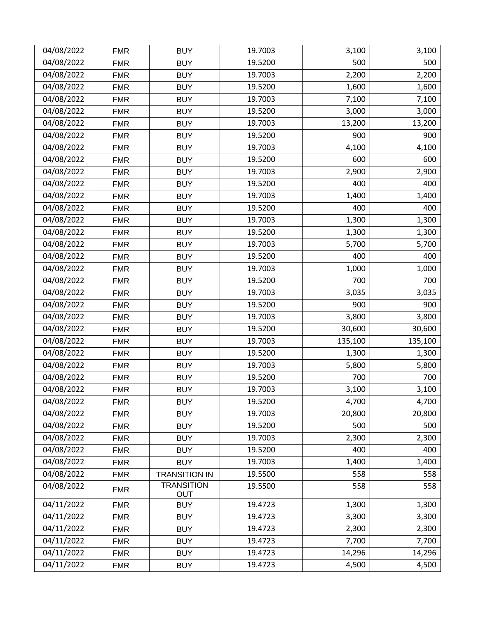| 04/08/2022 | <b>FMR</b> | <b>BUY</b>               | 19.7003 | 3,100   | 3,100   |
|------------|------------|--------------------------|---------|---------|---------|
| 04/08/2022 | <b>FMR</b> | <b>BUY</b>               | 19.5200 | 500     | 500     |
| 04/08/2022 | <b>FMR</b> | <b>BUY</b>               | 19.7003 | 2,200   | 2,200   |
| 04/08/2022 | <b>FMR</b> | <b>BUY</b>               | 19.5200 | 1,600   | 1,600   |
| 04/08/2022 | <b>FMR</b> | <b>BUY</b>               | 19.7003 | 7,100   | 7,100   |
| 04/08/2022 | <b>FMR</b> | <b>BUY</b>               | 19.5200 | 3,000   | 3,000   |
| 04/08/2022 | <b>FMR</b> | <b>BUY</b>               | 19.7003 | 13,200  | 13,200  |
| 04/08/2022 | <b>FMR</b> | <b>BUY</b>               | 19.5200 | 900     | 900     |
| 04/08/2022 | <b>FMR</b> | <b>BUY</b>               | 19.7003 | 4,100   | 4,100   |
| 04/08/2022 | <b>FMR</b> | <b>BUY</b>               | 19.5200 | 600     | 600     |
| 04/08/2022 | <b>FMR</b> | <b>BUY</b>               | 19.7003 | 2,900   | 2,900   |
| 04/08/2022 | <b>FMR</b> | <b>BUY</b>               | 19.5200 | 400     | 400     |
| 04/08/2022 | <b>FMR</b> | <b>BUY</b>               | 19.7003 | 1,400   | 1,400   |
| 04/08/2022 | <b>FMR</b> | <b>BUY</b>               | 19.5200 | 400     | 400     |
| 04/08/2022 | <b>FMR</b> | <b>BUY</b>               | 19.7003 | 1,300   | 1,300   |
| 04/08/2022 | <b>FMR</b> | <b>BUY</b>               | 19.5200 | 1,300   | 1,300   |
| 04/08/2022 | <b>FMR</b> | <b>BUY</b>               | 19.7003 | 5,700   | 5,700   |
| 04/08/2022 | <b>FMR</b> | <b>BUY</b>               | 19.5200 | 400     | 400     |
| 04/08/2022 | <b>FMR</b> | <b>BUY</b>               | 19.7003 | 1,000   | 1,000   |
| 04/08/2022 | <b>FMR</b> | <b>BUY</b>               | 19.5200 | 700     | 700     |
| 04/08/2022 | <b>FMR</b> | <b>BUY</b>               | 19.7003 | 3,035   | 3,035   |
| 04/08/2022 | <b>FMR</b> | <b>BUY</b>               | 19.5200 | 900     | 900     |
| 04/08/2022 | <b>FMR</b> | <b>BUY</b>               | 19.7003 | 3,800   | 3,800   |
| 04/08/2022 | <b>FMR</b> | <b>BUY</b>               | 19.5200 | 30,600  | 30,600  |
| 04/08/2022 | <b>FMR</b> | <b>BUY</b>               | 19.7003 | 135,100 | 135,100 |
| 04/08/2022 | <b>FMR</b> | <b>BUY</b>               | 19.5200 | 1,300   | 1,300   |
| 04/08/2022 | <b>FMR</b> | <b>BUY</b>               | 19.7003 | 5,800   | 5,800   |
| 04/08/2022 | <b>FMR</b> | <b>BUY</b>               | 19.5200 | 700     | 700     |
| 04/08/2022 | <b>FMR</b> | <b>BUY</b>               | 19.7003 | 3,100   | 3,100   |
| 04/08/2022 | <b>FMR</b> | <b>BUY</b>               | 19.5200 | 4,700   | 4,700   |
| 04/08/2022 | <b>FMR</b> | <b>BUY</b>               | 19.7003 | 20,800  | 20,800  |
| 04/08/2022 | <b>FMR</b> | <b>BUY</b>               | 19.5200 | 500     | 500     |
| 04/08/2022 | <b>FMR</b> | <b>BUY</b>               | 19.7003 | 2,300   | 2,300   |
| 04/08/2022 | <b>FMR</b> | <b>BUY</b>               | 19.5200 | 400     | 400     |
| 04/08/2022 | <b>FMR</b> | <b>BUY</b>               | 19.7003 | 1,400   | 1,400   |
| 04/08/2022 | <b>FMR</b> | <b>TRANSITION IN</b>     | 19.5500 | 558     | 558     |
| 04/08/2022 | <b>FMR</b> | <b>TRANSITION</b><br>OUT | 19.5500 | 558     | 558     |
| 04/11/2022 | <b>FMR</b> | <b>BUY</b>               | 19.4723 | 1,300   | 1,300   |
| 04/11/2022 | <b>FMR</b> | <b>BUY</b>               | 19.4723 | 3,300   | 3,300   |
| 04/11/2022 | <b>FMR</b> | <b>BUY</b>               | 19.4723 | 2,300   | 2,300   |
| 04/11/2022 | <b>FMR</b> | <b>BUY</b>               | 19.4723 | 7,700   | 7,700   |
| 04/11/2022 | <b>FMR</b> | <b>BUY</b>               | 19.4723 | 14,296  | 14,296  |
| 04/11/2022 | <b>FMR</b> | <b>BUY</b>               | 19.4723 | 4,500   | 4,500   |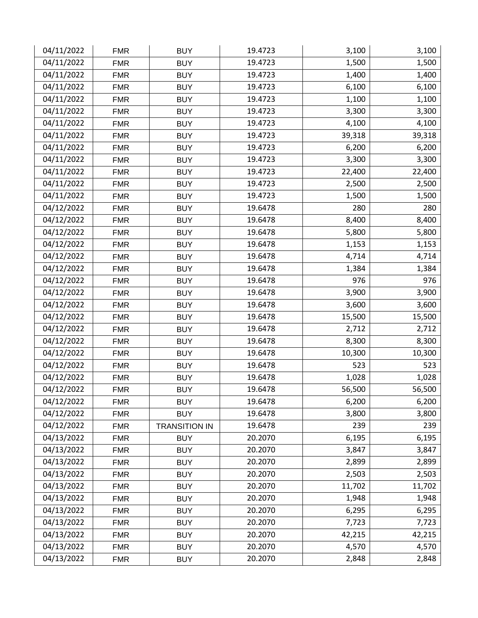| 04/11/2022 | <b>FMR</b> | <b>BUY</b>           | 19.4723 | 3,100  | 3,100  |
|------------|------------|----------------------|---------|--------|--------|
| 04/11/2022 | <b>FMR</b> | <b>BUY</b>           | 19.4723 | 1,500  | 1,500  |
| 04/11/2022 | <b>FMR</b> | <b>BUY</b>           | 19.4723 | 1,400  | 1,400  |
| 04/11/2022 | <b>FMR</b> | <b>BUY</b>           | 19.4723 | 6,100  | 6,100  |
| 04/11/2022 | <b>FMR</b> | <b>BUY</b>           | 19.4723 | 1,100  | 1,100  |
| 04/11/2022 | <b>FMR</b> | <b>BUY</b>           | 19.4723 | 3,300  | 3,300  |
| 04/11/2022 | <b>FMR</b> | <b>BUY</b>           | 19.4723 | 4,100  | 4,100  |
| 04/11/2022 | <b>FMR</b> | <b>BUY</b>           | 19.4723 | 39,318 | 39,318 |
| 04/11/2022 | <b>FMR</b> | <b>BUY</b>           | 19.4723 | 6,200  | 6,200  |
| 04/11/2022 | <b>FMR</b> | <b>BUY</b>           | 19.4723 | 3,300  | 3,300  |
| 04/11/2022 | <b>FMR</b> | <b>BUY</b>           | 19.4723 | 22,400 | 22,400 |
| 04/11/2022 | <b>FMR</b> | <b>BUY</b>           | 19.4723 | 2,500  | 2,500  |
| 04/11/2022 | <b>FMR</b> | <b>BUY</b>           | 19.4723 | 1,500  | 1,500  |
| 04/12/2022 | <b>FMR</b> | <b>BUY</b>           | 19.6478 | 280    | 280    |
| 04/12/2022 | <b>FMR</b> | <b>BUY</b>           | 19.6478 | 8,400  | 8,400  |
| 04/12/2022 | <b>FMR</b> | <b>BUY</b>           | 19.6478 | 5,800  | 5,800  |
| 04/12/2022 | <b>FMR</b> | <b>BUY</b>           | 19.6478 | 1,153  | 1,153  |
| 04/12/2022 | <b>FMR</b> | <b>BUY</b>           | 19.6478 | 4,714  | 4,714  |
| 04/12/2022 | <b>FMR</b> | <b>BUY</b>           | 19.6478 | 1,384  | 1,384  |
| 04/12/2022 | <b>FMR</b> | <b>BUY</b>           | 19.6478 | 976    | 976    |
| 04/12/2022 | <b>FMR</b> | <b>BUY</b>           | 19.6478 | 3,900  | 3,900  |
| 04/12/2022 | <b>FMR</b> | <b>BUY</b>           | 19.6478 | 3,600  | 3,600  |
| 04/12/2022 | <b>FMR</b> | <b>BUY</b>           | 19.6478 | 15,500 | 15,500 |
| 04/12/2022 | <b>FMR</b> | <b>BUY</b>           | 19.6478 | 2,712  | 2,712  |
| 04/12/2022 | <b>FMR</b> | <b>BUY</b>           | 19.6478 | 8,300  | 8,300  |
| 04/12/2022 | <b>FMR</b> | <b>BUY</b>           | 19.6478 | 10,300 | 10,300 |
| 04/12/2022 | <b>FMR</b> | <b>BUY</b>           | 19.6478 | 523    | 523    |
| 04/12/2022 | <b>FMR</b> | <b>BUY</b>           | 19.6478 | 1,028  | 1,028  |
| 04/12/2022 | <b>FMR</b> | <b>BUY</b>           | 19.6478 | 56,500 | 56,500 |
| 04/12/2022 | <b>FMR</b> | <b>BUY</b>           | 19.6478 | 6,200  | 6,200  |
| 04/12/2022 | <b>FMR</b> | <b>BUY</b>           | 19.6478 | 3,800  | 3,800  |
| 04/12/2022 | <b>FMR</b> | <b>TRANSITION IN</b> | 19.6478 | 239    | 239    |
| 04/13/2022 | <b>FMR</b> | <b>BUY</b>           | 20.2070 | 6,195  | 6,195  |
| 04/13/2022 | <b>FMR</b> | <b>BUY</b>           | 20.2070 | 3,847  | 3,847  |
| 04/13/2022 | <b>FMR</b> | <b>BUY</b>           | 20.2070 | 2,899  | 2,899  |
| 04/13/2022 | <b>FMR</b> | <b>BUY</b>           | 20.2070 | 2,503  | 2,503  |
| 04/13/2022 | <b>FMR</b> | <b>BUY</b>           | 20.2070 | 11,702 | 11,702 |
| 04/13/2022 | <b>FMR</b> | <b>BUY</b>           | 20.2070 | 1,948  | 1,948  |
| 04/13/2022 | <b>FMR</b> | <b>BUY</b>           | 20.2070 | 6,295  | 6,295  |
| 04/13/2022 | <b>FMR</b> | <b>BUY</b>           | 20.2070 | 7,723  | 7,723  |
| 04/13/2022 | <b>FMR</b> | <b>BUY</b>           | 20.2070 | 42,215 | 42,215 |
| 04/13/2022 | <b>FMR</b> | <b>BUY</b>           | 20.2070 | 4,570  | 4,570  |
| 04/13/2022 | <b>FMR</b> | <b>BUY</b>           | 20.2070 | 2,848  | 2,848  |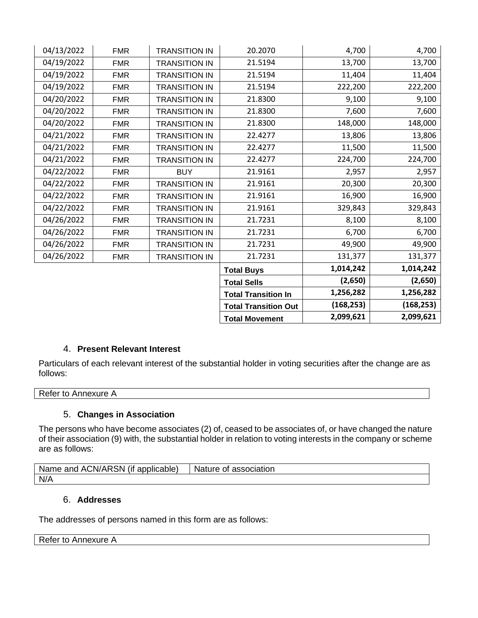| 04/13/2022 | <b>FMR</b> | <b>TRANSITION IN</b> | 20.2070                     | 4,700      | 4,700      |
|------------|------------|----------------------|-----------------------------|------------|------------|
| 04/19/2022 | <b>FMR</b> | <b>TRANSITION IN</b> | 21.5194                     | 13,700     | 13,700     |
| 04/19/2022 | <b>FMR</b> | <b>TRANSITION IN</b> | 21.5194                     | 11,404     | 11,404     |
| 04/19/2022 | <b>FMR</b> | <b>TRANSITION IN</b> | 21.5194                     | 222,200    | 222,200    |
| 04/20/2022 | <b>FMR</b> | <b>TRANSITION IN</b> | 21.8300                     | 9,100      | 9,100      |
| 04/20/2022 | <b>FMR</b> | <b>TRANSITION IN</b> | 21.8300                     | 7,600      | 7,600      |
| 04/20/2022 | <b>FMR</b> | <b>TRANSITION IN</b> | 21.8300                     | 148,000    | 148,000    |
| 04/21/2022 | <b>FMR</b> | <b>TRANSITION IN</b> | 22.4277                     | 13,806     | 13,806     |
| 04/21/2022 | <b>FMR</b> | <b>TRANSITION IN</b> | 22.4277                     | 11,500     | 11,500     |
| 04/21/2022 | <b>FMR</b> | <b>TRANSITION IN</b> | 22.4277                     | 224,700    | 224,700    |
| 04/22/2022 | <b>FMR</b> | <b>BUY</b>           | 21.9161                     | 2,957      | 2,957      |
| 04/22/2022 | <b>FMR</b> | <b>TRANSITION IN</b> | 21.9161                     | 20,300     | 20,300     |
| 04/22/2022 | <b>FMR</b> | <b>TRANSITION IN</b> | 21.9161                     | 16,900     | 16,900     |
| 04/22/2022 | <b>FMR</b> | <b>TRANSITION IN</b> | 21.9161                     | 329,843    | 329,843    |
| 04/26/2022 | <b>FMR</b> | <b>TRANSITION IN</b> | 21.7231                     | 8,100      | 8,100      |
| 04/26/2022 | <b>FMR</b> | <b>TRANSITION IN</b> | 21.7231                     | 6,700      | 6,700      |
| 04/26/2022 | <b>FMR</b> | <b>TRANSITION IN</b> | 21.7231                     | 49,900     | 49,900     |
| 04/26/2022 | <b>FMR</b> | <b>TRANSITION IN</b> | 21.7231                     | 131,377    | 131,377    |
|            |            |                      | <b>Total Buys</b>           | 1,014,242  | 1,014,242  |
|            |            |                      | <b>Total Sells</b>          | (2,650)    | (2,650)    |
|            |            |                      | <b>Total Transition In</b>  | 1,256,282  | 1,256,282  |
|            |            |                      | <b>Total Transition Out</b> | (168, 253) | (168, 253) |
|            |            |                      | <b>Total Movement</b>       | 2,099,621  | 2,099,621  |

# 4. **Present Relevant Interest**

Particulars of each relevant interest of the substantial holder in voting securities after the change are as follows:

#### Refer to Annexure A

# 5. **Changes in Association**

The persons who have become associates (2) of, ceased to be associates of, or have changed the nature of their association (9) with, the substantial holder in relation to voting interests in the company or scheme are as follows:

| $\cdots$<br><br>Name<br>''AR.<br>∴N≀<br>and<br>AC.<br>applicable)<br>'SN<br>Œ<br>∽. | <b>Nature</b><br>association<br>OL |
|-------------------------------------------------------------------------------------|------------------------------------|
| N/A                                                                                 |                                    |

# 6. **Addresses**

The addresses of persons named in this form are as follows:

# Refer to Annexure A